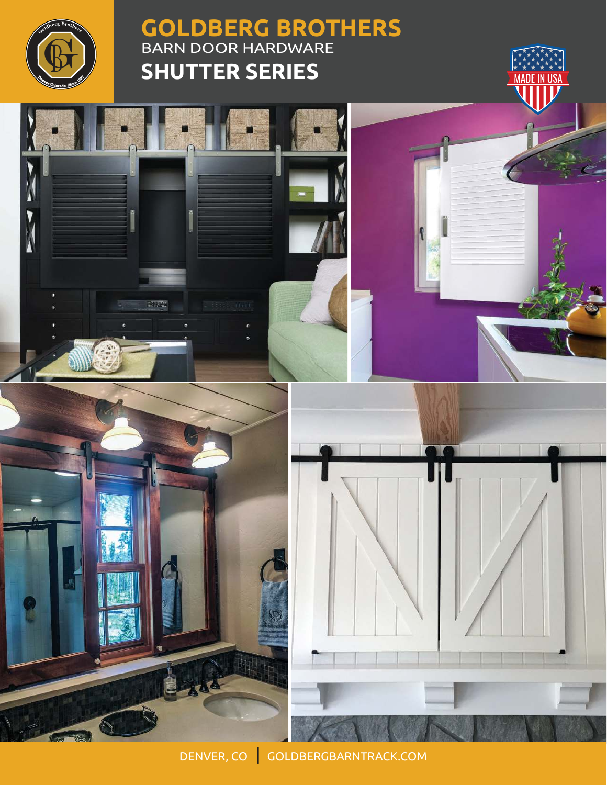

N

## **GOLDBERG BROTHERS** BARN DOOR HARDWARE **SHUTTER SERIES**





 $= 5683522$